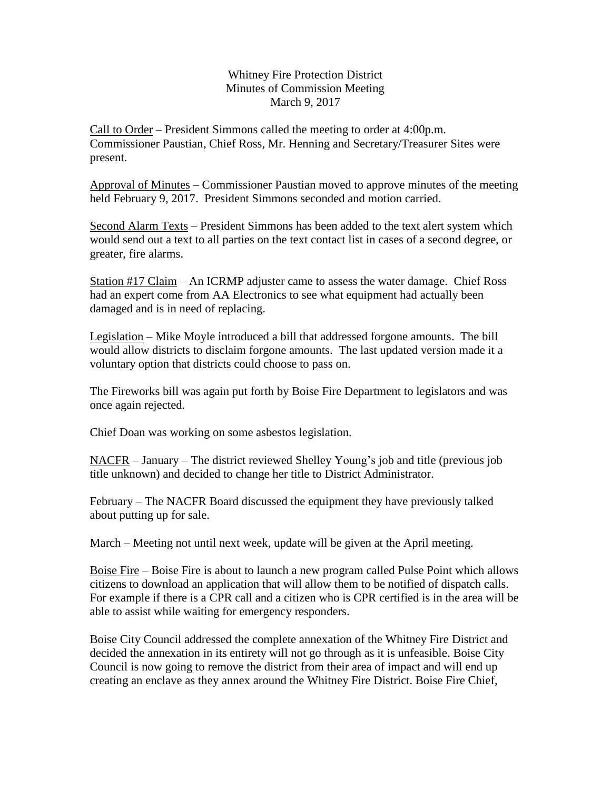Whitney Fire Protection District Minutes of Commission Meeting March 9, 2017

Call to Order – President Simmons called the meeting to order at 4:00p.m. Commissioner Paustian, Chief Ross, Mr. Henning and Secretary/Treasurer Sites were present.

Approval of Minutes – Commissioner Paustian moved to approve minutes of the meeting held February 9, 2017. President Simmons seconded and motion carried.

Second Alarm Texts – President Simmons has been added to the text alert system which would send out a text to all parties on the text contact list in cases of a second degree, or greater, fire alarms.

Station #17 Claim – An ICRMP adjuster came to assess the water damage. Chief Ross had an expert come from AA Electronics to see what equipment had actually been damaged and is in need of replacing.

Legislation – Mike Moyle introduced a bill that addressed forgone amounts. The bill would allow districts to disclaim forgone amounts. The last updated version made it a voluntary option that districts could choose to pass on.

The Fireworks bill was again put forth by Boise Fire Department to legislators and was once again rejected.

Chief Doan was working on some asbestos legislation.

NACFR – January – The district reviewed Shelley Young's job and title (previous job title unknown) and decided to change her title to District Administrator.

February – The NACFR Board discussed the equipment they have previously talked about putting up for sale.

March – Meeting not until next week, update will be given at the April meeting.

Boise Fire – Boise Fire is about to launch a new program called Pulse Point which allows citizens to download an application that will allow them to be notified of dispatch calls. For example if there is a CPR call and a citizen who is CPR certified is in the area will be able to assist while waiting for emergency responders.

Boise City Council addressed the complete annexation of the Whitney Fire District and decided the annexation in its entirety will not go through as it is unfeasible. Boise City Council is now going to remove the district from their area of impact and will end up creating an enclave as they annex around the Whitney Fire District. Boise Fire Chief,